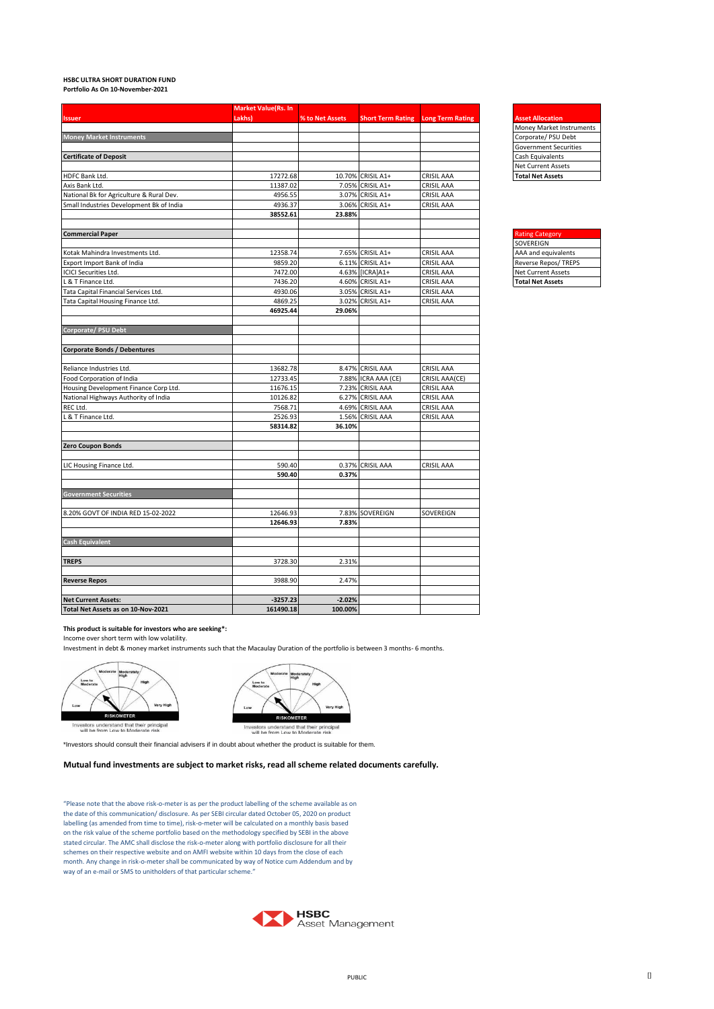## **HSBC ULTRA SHORT DURATION FUND**

**Portfolio As On 10-November-2021**

|                                          | <b>Market Value(Rs. In</b> |                 |                          |                         |                           |
|------------------------------------------|----------------------------|-----------------|--------------------------|-------------------------|---------------------------|
| <b>Issuer</b>                            | Lakhs)                     | % to Net Assets | <b>Short Term Rating</b> | <b>Long Term Rating</b> | <b>Asset Allocation</b>   |
|                                          |                            |                 |                          |                         | Money Market Instrui      |
| <b>Money Market Instruments</b>          |                            |                 |                          |                         | Corporate/ PSU Debt       |
|                                          |                            |                 |                          |                         | Government Securitie      |
| <b>Certificate of Deposit</b>            |                            |                 |                          |                         | Cash Equivalents          |
|                                          |                            |                 |                          |                         | <b>Net Current Assets</b> |
| HDFC Bank Ltd.                           | 17272.68                   | 10.70%          | CRISIL A1+               | <b>CRISIL AAA</b>       | <b>Total Net Assets</b>   |
| Axis Bank Ltd.                           | 11387.02                   |                 | 7.05% CRISIL A1+         | CRISIL AAA              |                           |
| National Bk for Agriculture & Rural Dev. | 4956.55                    |                 | 3.07% CRISIL A1+         | CRISIL AAA              |                           |
| Small Industries Development Bk of India | 4936.37                    |                 | 3.06% CRISIL A1+         | CRISIL AAA              |                           |
|                                          | 38552.61                   | 23.88%          |                          |                         |                           |
| <b>Commercial Paper</b>                  |                            |                 |                          |                         | <b>Rating Category</b>    |
|                                          |                            |                 |                          |                         | SOVEREIGN                 |
| Kotak Mahindra Investments Ltd.          | 12358.74                   |                 | 7.65% CRISIL A1+         | CRISIL AAA              | AAA and equivalents       |
| Export Import Bank of India              | 9859.20                    |                 | 6.11% CRISIL A1+         | CRISIL AAA              | Reverse Repos/TREPS       |
| <b>ICICI Securities Ltd.</b>             | 7472.00                    |                 | 4.63% [ICRA]A1+          | CRISIL AAA              | <b>Net Current Assets</b> |
| L & T Finance Ltd.                       | 7436.20                    |                 | 4.60% CRISIL A1+         | <b>CRISIL AAA</b>       | <b>Total Net Assets</b>   |
| Tata Capital Financial Services Ltd.     | 4930.06                    |                 | 3.05% CRISIL A1+         | <b>CRISIL AAA</b>       |                           |
| Tata Capital Housing Finance Ltd.        | 4869.25<br>46925.44        | 29.06%          | 3.02% CRISIL A1+         | <b>CRISIL AAA</b>       |                           |
|                                          |                            |                 |                          |                         |                           |
| Corporate/PSU Debt                       |                            |                 |                          |                         |                           |
| <b>Corporate Bonds / Debentures</b>      |                            |                 |                          |                         |                           |
| Reliance Industries Ltd.                 | 13682.78                   |                 | 8.47% CRISIL AAA         | CRISIL AAA              |                           |
| Food Corporation of India                | 12733.45                   |                 | 7.88% ICRA AAA (CE)      | CRISIL AAA(CE)          |                           |
| Housing Development Finance Corp Ltd.    | 11676.15                   |                 | 7.23% CRISIL AAA         | CRISIL AAA              |                           |
| National Highways Authority of India     | 10126.82                   | 6.27%           | <b>CRISIL AAA</b>        | <b>CRISIL AAA</b>       |                           |
| REC Ltd.                                 | 7568.71                    | 4.69%           | <b>CRISIL AAA</b>        | <b>CRISIL AAA</b>       |                           |
| L & T Finance Ltd.                       | 2526.93                    |                 | 1.56% CRISIL AAA         | CRISIL AAA              |                           |
|                                          | 58314.82                   | 36.10%          |                          |                         |                           |
| <b>Zero Coupon Bonds</b>                 |                            |                 |                          |                         |                           |
| LIC Housing Finance Ltd.                 | 590.40                     |                 | 0.37% CRISIL AAA         | CRISIL AAA              |                           |
|                                          | 590.40                     | 0.37%           |                          |                         |                           |
| <b>Government Securities</b>             |                            |                 |                          |                         |                           |
| 8.20% GOVT OF INDIA RED 15-02-2022       | 12646.93                   |                 | 7.83% SOVEREIGN          | SOVEREIGN               |                           |
|                                          | 12646.93                   | 7.83%           |                          |                         |                           |
| <b>Cash Equivalent</b>                   |                            |                 |                          |                         |                           |
| <b>TREPS</b>                             | 3728.30                    | 2.31%           |                          |                         |                           |
| <b>Reverse Repos</b>                     | 3988.90                    | 2.47%           |                          |                         |                           |
| <b>Net Current Assets:</b>               | $-3257.23$                 | $-2.02%$        |                          |                         |                           |
| Total Net Assets as on 10-Nov-2021       | 161490.18                  | 100.00%         |                          |                         |                           |



| <b>Rating Category</b>      |
|-----------------------------|
| SOVEREIGN                   |
| AAA and equivalents         |
| <b>Reverse Repos/ TREPS</b> |
| <b>Net Current Assets</b>   |
| <b>Total Net Assets</b>     |

**This product is suitable for investors who are seeking\*:**

Income over short term with low volatility.

Investment in debt & money market instruments such that the Macaulay Duration of the portfolio is between 3 months- 6 months.



Low t ETER Investors understand that their principal<br>will be from Low to Moderate risk

\*Investors should consult their financial advisers if in doubt about whether the product is suitable for them.

## **Mutual fund investments are subject to market risks, read all scheme related documents carefully.**

"Please note that the above risk-o-meter is as per the product labelling of the scheme available as on the date of this communication/ disclosure. As per SEBI circular dated October 05, 2020 on product labelling (as amended from time to time), risk-o-meter will be calculated on a monthly basis based on the risk value of the scheme portfolio based on the methodology specified by SEBI in the above stated circular. The AMC shall disclose the risk-o-meter along with portfolio disclosure for all their schemes on their respective website and on AMFI website within 10 days from the close of each month. Any change in risk-o-meter shall be communicated by way of Notice cum Addendum and by way of an e-mail or SMS to unitholders of that particular scheme."